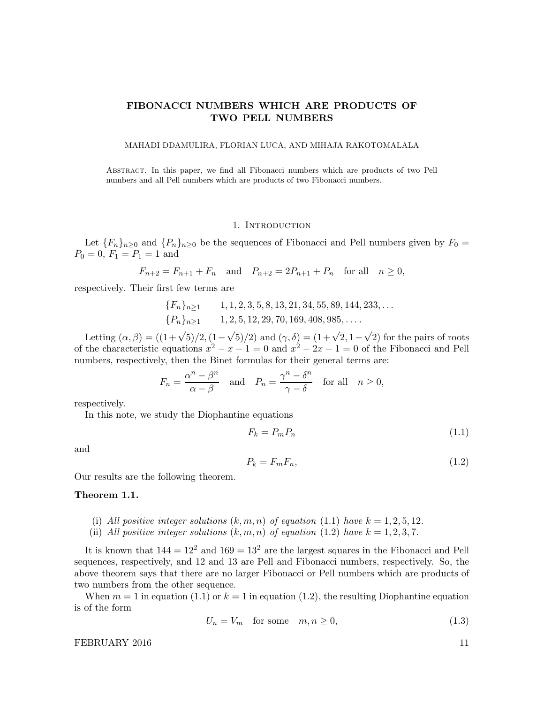# FIBONACCI NUMBERS WHICH ARE PRODUCTS OF TWO PELL NUMBERS

### MAHADI DDAMULIRA, FLORIAN LUCA, AND MIHAJA RAKOTOMALALA

Abstract. In this paper, we find all Fibonacci numbers which are products of two Pell numbers and all Pell numbers which are products of two Fibonacci numbers.

### 1. Introduction

Let  ${F_n}_{n\geq 0}$  and  ${P_n}_{n\geq 0}$  be the sequences of Fibonacci and Pell numbers given by  $F_0 =$  $P_0 = 0, F_1 = P_1 = 1$  and

$$
F_{n+2} = F_{n+1} + F_n
$$
 and  $P_{n+2} = 2P_{n+1} + P_n$  for all  $n \ge 0$ ,

respectively. Their first few terms are

$$
{F_n}_{n \ge 1}
$$
 1, 1, 2, 3, 5, 8, 13, 21, 34, 55, 89, 144, 233,...  
{P\_n}\_{n \ge 1} 1, 2, 5, 12, 29, 70, 169, 408, 985,...

Letting  $(\alpha, \beta) = ((1 + \sqrt{5})/2, (1 - \sqrt{5})/2)$  and  $(\gamma, \delta) = (1 + \sqrt{2}, 1 - \sqrt{2})$  for the pairs of roots of the characteristic equations  $x^2 - x - 1 = 0$  and  $x^2 - 2x - 1 = 0$  of the Fibonacci and Pell numbers, respectively, then the Binet formulas for their general terms are:

$$
F_n = \frac{\alpha^n - \beta^n}{\alpha - \beta} \quad \text{and} \quad P_n = \frac{\gamma^n - \delta^n}{\gamma - \delta} \quad \text{for all} \quad n \ge 0,
$$

respectively.

In this note, we study the Diophantine equations

$$
F_k = P_m P_n \tag{1.1}
$$

and

$$
P_k = F_m F_n,\tag{1.2}
$$

Our results are the following theorem.

### Theorem 1.1.

- (i) All positive integer solutions  $(k, m, n)$  of equation (1.1) have  $k = 1, 2, 5, 12$ .
- (ii) All positive integer solutions  $(k, m, n)$  of equation (1.2) have  $k = 1, 2, 3, 7$ .

It is known that  $144 = 12^2$  and  $169 = 13^2$  are the largest squares in the Fibonacci and Pell sequences, respectively, and 12 and 13 are Pell and Fibonacci numbers, respectively. So, the above theorem says that there are no larger Fibonacci or Pell numbers which are products of two numbers from the other sequence.

When  $m = 1$  in equation (1.1) or  $k = 1$  in equation (1.2), the resulting Diophantine equation is of the form

$$
U_n = V_m \quad \text{for some} \quad m, n \ge 0,\tag{1.3}
$$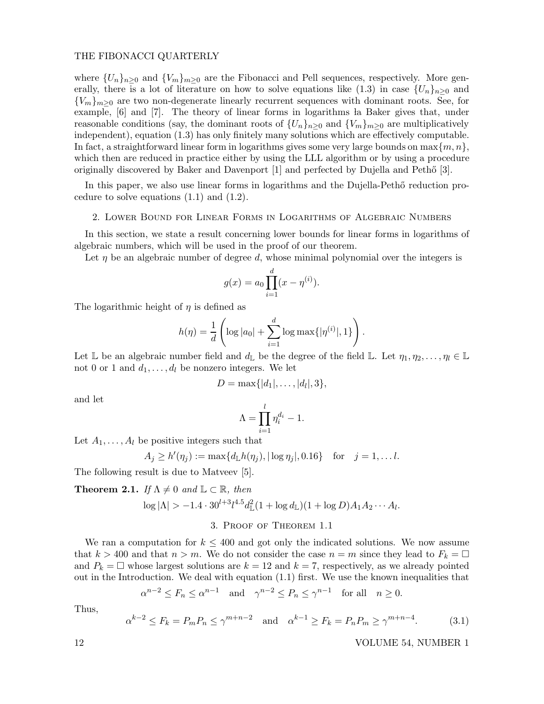where  $\{U_n\}_{n>0}$  and  $\{V_m\}_{m>0}$  are the Fibonacci and Pell sequences, respectively. More generally, there is a lot of literature on how to solve equations like (1.3) in case  ${U_n}_{n>0}$  and  ${V_m}_{m>0}$  are two non-degenerate linearly recurrent sequences with dominant roots. See, for example, [6] and [7]. The theory of linear forms in logarithms la Baker gives that, under reasonable conditions (say, the dominant roots of  $\{U_n\}_{n>0}$  and  $\{V_m\}_{m>0}$  are multiplicatively independent), equation (1.3) has only finitely many solutions which are effectively computable. In fact, a straightforward linear form in logarithms gives some very large bounds on  $\max\{m, n\}$ , which then are reduced in practice either by using the LLL algorithm or by using a procedure originally discovered by Baker and Davenport  $[1]$  and perfected by Dujella and Peth $[3]$ .

In this paper, we also use linear forms in logarithms and the Dujella-Pethő reduction procedure to solve equations  $(1.1)$  and  $(1.2)$ .

### 2. Lower Bound for Linear Forms in Logarithms of Algebraic Numbers

In this section, we state a result concerning lower bounds for linear forms in logarithms of algebraic numbers, which will be used in the proof of our theorem.

Let  $\eta$  be an algebraic number of degree d, whose minimal polynomial over the integers is

$$
g(x) = a_0 \prod_{i=1}^{d} (x - \eta^{(i)}).
$$

The logarithmic height of  $\eta$  is defined as

$$
h(\eta) = \frac{1}{d} \left( \log |a_0| + \sum_{i=1}^d \log \max\{|\eta^{(i)}|, 1\} \right).
$$

Let  $\mathbb L$  be an algebraic number field and  $d_{\mathbb L}$  be the degree of the field  $\mathbb L$ . Let  $\eta_1, \eta_2, \ldots, \eta_l \in \mathbb L$ not 0 or 1 and  $d_1, \ldots, d_l$  be nonzero integers. We let

$$
D=\max\{|d_1|,\ldots,|d_l|,3\},\
$$

and let

$$
\Lambda = \prod_{i=1}^{l} \eta_i^{d_i} - 1.
$$

Let  $A_1, \ldots, A_l$  be positive integers such that

$$
A_j \ge h'(\eta_j) := \max\{d_{\mathbb{L}}h(\eta_j), |\log \eta_j|, 0.16\} \text{ for } j = 1, \dots l.
$$

The following result is due to Matveev [5].

**Theorem 2.1.** If 
$$
\Lambda \neq 0
$$
 and  $\mathbb{L} \subset \mathbb{R}$ , then  
\n
$$
\log |\Lambda| > -1.4 \cdot 30^{l+3} l^{4.5} d_{\mathbb{L}}^2 (1 + \log d_{\mathbb{L}}) (1 + \log D) A_1 A_2 \cdots A_l.
$$

### 3. Proof of Theorem 1.1

We ran a computation for  $k \leq 400$  and got only the indicated solutions. We now assume that  $k > 400$  and that  $n > m$ . We do not consider the case  $n = m$  since they lead to  $F_k = \Box$ and  $P_k = \Box$  whose largest solutions are  $k = 12$  and  $k = 7$ , respectively, as we already pointed out in the Introduction. We deal with equation (1.1) first. We use the known inequalities that

$$
\alpha^{n-2} \le F_n \le \alpha^{n-1} \quad \text{and} \quad \gamma^{n-2} \le P_n \le \gamma^{n-1} \quad \text{for all} \quad n \ge 0.
$$

Thus,

$$
\alpha^{k-2} \le F_k = P_m P_n \le \gamma^{m+n-2}
$$
 and  $\alpha^{k-1} \ge F_k = P_n P_m \ge \gamma^{m+n-4}.$  (3.1)

12 VOLUME 54, NUMBER 1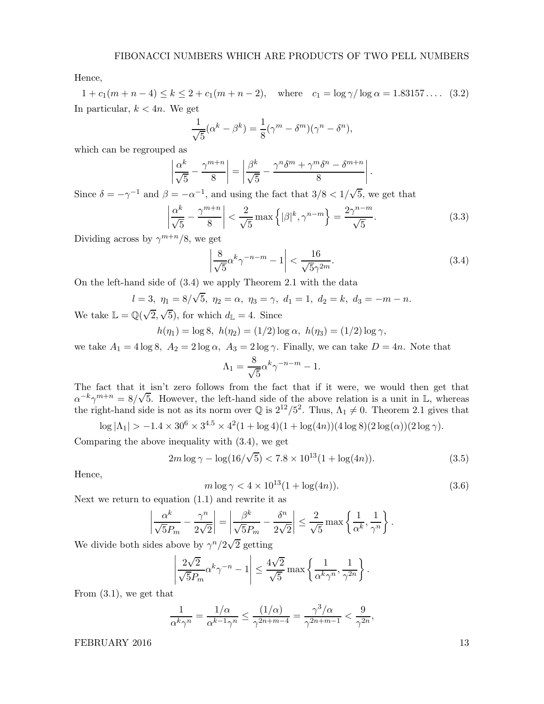Hence,

 $1 + c_1(m + n - 4) \le k \le 2 + c_1(m + n - 2)$ , where  $c_1 = \log \gamma / \log \alpha = 1.83157...$  (3.2) In particular,  $k < 4n$ . We get

$$
\frac{1}{\sqrt{5}}(\alpha^k - \beta^k) = \frac{1}{8}(\gamma^m - \delta^m)(\gamma^n - \delta^n),
$$

which can be regrouped as

$$
\left|\frac{\alpha^k}{\sqrt{5}} - \frac{\gamma^{m+n}}{8}\right| = \left|\frac{\beta^k}{\sqrt{5}} - \frac{\gamma^n \delta^m + \gamma^m \delta^n - \delta^{m+n}}{8}\right|.
$$

Since  $\delta = -\gamma^{-1}$  and  $\beta = -\alpha^{-1}$ , and using the fact that  $3/8 < 1/\sqrt{5}$ , we get that

$$
\left|\frac{\alpha^k}{\sqrt{5}} - \frac{\gamma^{m+n}}{8}\right| < \frac{2}{\sqrt{5}} \max\left\{|\beta|^k, \gamma^{n-m}\right\} = \frac{2\gamma^{n-m}}{\sqrt{5}}.\tag{3.3}
$$

Dividing across by  $\gamma^{m+n}/8$ , we get

$$
\left|\frac{8}{\sqrt{5}}\alpha^k \gamma^{-n-m} - 1\right| < \frac{16}{\sqrt{5}\gamma^{2m}}.\tag{3.4}
$$

On the left-hand side of (3.4) we apply Theorem 2.1 with the data

$$
l = 3
$$
,  $\eta_1 = 8/\sqrt{5}$ ,  $\eta_2 = \alpha$ ,  $\eta_3 = \gamma$ ,  $d_1 = 1$ ,  $d_2 = k$ ,  $d_3 = -m - n$ .

We take  $\mathbb{L} = \mathbb{Q}(\sqrt{2}, \sqrt{5})$ , for which  $d_{\mathbb{L}} = 4$ . Since

$$
h(\eta_1) = \log 8, \ h(\eta_2) = (1/2) \log \alpha, \ h(\eta_3) = (1/2) \log \gamma,
$$

we take  $A_1 = 4 \log 8$ ,  $A_2 = 2 \log \alpha$ ,  $A_3 = 2 \log \gamma$ . Finally, we can take  $D = 4n$ . Note that

$$
\Lambda_1 = \frac{8}{\sqrt{5}} \alpha^k \gamma^{-n-m} - 1.
$$

The fact that it isn't zero follows from the fact that if it were, we would then get that  $\alpha^{-k}\gamma^{m+n} = 8/\sqrt{5}$ . However, the left-hand side of the above relation is a unit in L, whereas the right-hand side is not as its norm over  $\mathbb{Q}$  is  $2^{12}/5^2$ . Thus,  $\Lambda_1 \neq 0$ . Theorem 2.1 gives that

$$
\log |\Lambda_1| > -1.4 \times 30^6 \times 3^{4.5} \times 4^2 (1 + \log 4)(1 + \log (4n))(4 \log 8)(2 \log(\alpha))(2 \log \gamma).
$$

Comparing the above inequality with (3.4), we get

$$
2m \log \gamma - \log(16/\sqrt{5}) < 7.8 \times 10^{13} (1 + \log(4n)). \tag{3.5}
$$

Hence,

$$
m \log \gamma < 4 \times 10^{13} (1 + \log(4n)).\tag{3.6}
$$

,

Next we return to equation (1.1) and rewrite it as

$$
\left|\frac{\alpha^k}{\sqrt{5}P_m} - \frac{\gamma^n}{2\sqrt{2}}\right| = \left|\frac{\beta^k}{\sqrt{5}P_m} - \frac{\delta^n}{2\sqrt{2}}\right| \le \frac{2}{\sqrt{5}} \max\left\{\frac{1}{\alpha^k}, \frac{1}{\gamma^n}\right\}.
$$

We divide both sides above by  $\gamma^{n}/2\sqrt{2}$  getting

$$
\left|\frac{2\sqrt{2}}{\sqrt{5}P_m}\alpha^k\gamma^{-n} - 1\right| \le \frac{4\sqrt{2}}{\sqrt{5}}\max\left\{\frac{1}{\alpha^k\gamma^n}, \frac{1}{\gamma^{2n}}\right\}.
$$

From (3.1), we get that

$$
\frac{1}{\alpha^k \gamma^n} = \frac{1/\alpha}{\alpha^{k-1} \gamma^n} \le \frac{(1/\alpha)}{\gamma^{2n+m-4}} = \frac{\gamma^3/\alpha}{\gamma^{2n+m-1}} < \frac{9}{\gamma^{2n}}
$$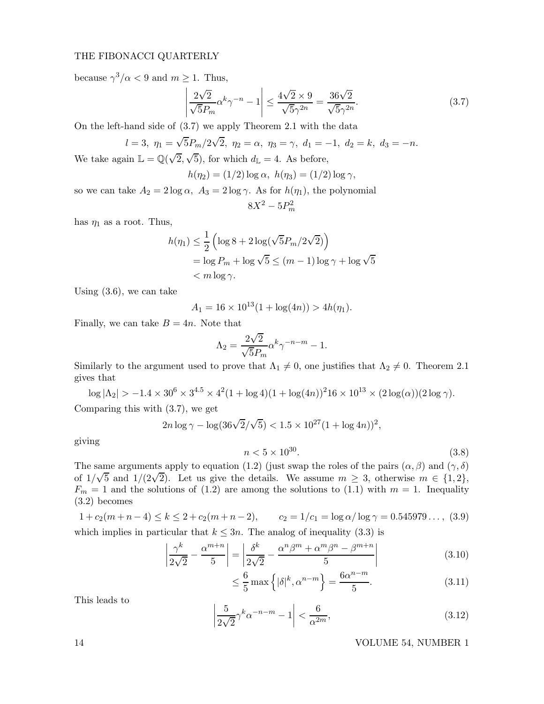because  $\gamma^3/\alpha < 9$  and  $m \ge 1$ . Thus,

$$
\left|\frac{2\sqrt{2}}{\sqrt{5}P_m}\alpha^k\gamma^{-n} - 1\right| \le \frac{4\sqrt{2} \times 9}{\sqrt{5}\gamma^{2n}} = \frac{36\sqrt{2}}{\sqrt{5}\gamma^{2n}}.\tag{3.7}
$$

On the left-hand side of (3.7) we apply Theorem 2.1 with the data

$$
l=3, \ \eta_1=\sqrt{5}P_m/2\sqrt{2}, \ \eta_2=\alpha, \ \eta_3=\gamma, \ d_1=-1, \ d_2=k, \ d_3=-n.
$$

We take again  $\mathbb{L} = \mathbb{Q}(\sqrt{2}, \sqrt{5})$ , for which  $d_{\mathbb{L}} = 4$ . As before,

$$
h(\eta_2) = (1/2) \log \alpha, \ h(\eta_3) = (1/2) \log \gamma,
$$

so we can take  $A_2 = 2 \log \alpha$ ,  $A_3 = 2 \log \gamma$ . As for  $h(\eta_1)$ , the polynomial  $8X^2 - 5P_m^2$ 

has  $\eta_1$  as a root. Thus,

$$
h(\eta_1) \le \frac{1}{2} \left( \log 8 + 2 \log(\sqrt{5}P_m/2\sqrt{2}) \right)
$$
  
=  $\log P_m + \log \sqrt{5} \le (m-1) \log \gamma + \log \sqrt{5}$   
<  $m \log \gamma$ .

Using (3.6), we can take

$$
A_1 = 16 \times 10^{13} (1 + \log(4n)) > 4h(\eta_1).
$$

Finally, we can take  $B = 4n$ . Note that

$$
\Lambda_2 = \frac{2\sqrt{2}}{\sqrt{5}P_m} \alpha^k \gamma^{-n-m} - 1.
$$

Similarly to the argument used to prove that  $\Lambda_1 \neq 0$ , one justifies that  $\Lambda_2 \neq 0$ . Theorem 2.1 gives that

$$
\log |\Lambda_2| > -1.4 \times 30^6 \times 3^{4.5} \times 4^2 (1 + \log 4)(1 + \log (4n))^2 16 \times 10^{13} \times (2 \log(\alpha))(2 \log \gamma).
$$

Comparing this with (3.7), we get

$$
2n \log \gamma - \log(36\sqrt{2}/\sqrt{5}) < 1.5 \times 10^{27} (1 + \log 4n))^2,
$$

giving

$$
n < 5 \times 10^{30}.\tag{3.8}
$$

The same arguments apply to equation (1.2) (just swap the roles of the pairs  $(\alpha, \beta)$  and  $(\gamma, \delta)$ of  $1/\sqrt{5}$  and  $1/(2\sqrt{2})$ . Let us give the details. We assume  $m \geq 3$ , otherwise  $m \in \{1,2\}$ ,  $F_m = 1$  and the solutions of (1.2) are among the solutions to (1.1) with  $m = 1$ . Inequality (3.2) becomes

$$
1 + c_2(m+n-4) \le k \le 2 + c_2(m+n-2), \qquad c_2 = 1/c_1 = \log \alpha / \log \gamma = 0.545979\dots, (3.9)
$$
  
which implies in particular that  $k \le 3n$ . The analog of inequality (3.3) is

$$
\left|\frac{\gamma^k}{2\sqrt{2}} - \frac{\alpha^{m+n}}{5}\right| = \left|\frac{\delta^k}{2\sqrt{2}} - \frac{\alpha^n \beta^m + \alpha^m \beta^n - \beta^{m+n}}{5}\right| \tag{3.10}
$$

$$
\leq \frac{6}{5} \max \left\{ |\delta|^k, \alpha^{n-m} \right\} = \frac{6\alpha^{n-m}}{5}.
$$
 (3.11)

This leads to

$$
\left|\frac{5}{2\sqrt{2}}\gamma^k \alpha^{-n-m} - 1\right| < \frac{6}{\alpha^{2m}},\tag{3.12}
$$

14 VOLUME 54, NUMBER 1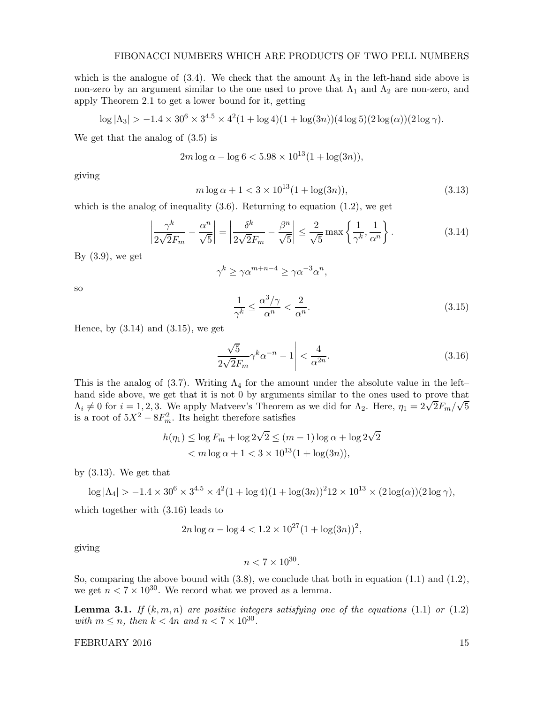which is the analogue of (3.4). We check that the amount  $\Lambda_3$  in the left-hand side above is non-zero by an argument similar to the one used to prove that  $\Lambda_1$  and  $\Lambda_2$  are non-zero, and apply Theorem 2.1 to get a lower bound for it, getting

$$
\log |\Lambda_3| > -1.4 \times 30^6 \times 3^{4.5} \times 4^2 (1 + \log 4)(1 + \log (3n))(4 \log 5)(2 \log(\alpha))(2 \log \gamma).
$$

We get that the analog of (3.5) is

$$
2m\log\alpha - \log 6 < 5.98 \times 10^{13} (1 + \log(3n)),
$$

giving

$$
m \log \alpha + 1 < 3 \times 10^{13} (1 + \log(3n)), \tag{3.13}
$$

which is the analog of inequality  $(3.6)$ . Returning to equation  $(1.2)$ , we get

$$
\left|\frac{\gamma^k}{2\sqrt{2}F_m} - \frac{\alpha^n}{\sqrt{5}}\right| = \left|\frac{\delta^k}{2\sqrt{2}F_m} - \frac{\beta^n}{\sqrt{5}}\right| \le \frac{2}{\sqrt{5}} \max\left\{\frac{1}{\gamma^k}, \frac{1}{\alpha^n}\right\}.
$$
 (3.14)

By  $(3.9)$ , we get

$$
\gamma^k \ge \gamma \alpha^{m+n-4} \ge \gamma \alpha^{-3} \alpha^n,
$$

so

$$
\frac{1}{\gamma^k} \le \frac{\alpha^3/\gamma}{\alpha^n} < \frac{2}{\alpha^n}.\tag{3.15}
$$

Hence, by  $(3.14)$  and  $(3.15)$ , we get

$$
\left|\frac{\sqrt{5}}{2\sqrt{2}F_m}\gamma^k\alpha^{-n} - 1\right| < \frac{4}{\alpha^{2n}}.\tag{3.16}
$$

This is the analog of (3.7). Writing  $\Lambda_4$  for the amount under the absolute value in the left– hand side above, we get that it is not 0 by arguments similar to the ones used to prove that  $Λ_i \neq 0$  for  $i = 1, 2, 3$ . We apply Matveev's Theorem as we did for  $Λ_2$ . Here,  $η_1 = 2\sqrt{2}F_m/\sqrt{5}$ is a root of  $5X^2 - 8F_m^2$ . Its height therefore satisfies

$$
h(\eta_1) \le \log F_m + \log 2\sqrt{2} \le (m-1)\log \alpha + \log 2\sqrt{2}
$$
  

$$
< m \log \alpha + 1 < 3 \times 10^{13} (1 + \log(3n)),
$$

by (3.13). We get that

$$
\log |\Lambda_4| > -1.4 \times 30^6 \times 3^{4.5} \times 4^2 (1 + \log 4)(1 + \log (3n))^2 12 \times 10^{13} \times (2 \log(\alpha))(2 \log \gamma),
$$

which together with (3.16) leads to

$$
2n \log \alpha - \log 4 < 1.2 \times 10^{27} (1 + \log(3n))^2
$$

giving

$$
n < 7 \times 10^{30}
$$

So, comparing the above bound with (3.8), we conclude that both in equation (1.1) and (1.2), we get  $n < 7 \times 10^{30}$ . We record what we proved as a lemma.

**Lemma 3.1.** If  $(k, m, n)$  are positive integers satisfying one of the equations (1.1) or (1.2) with  $m \leq n$ , then  $k < 4n$  and  $n < 7 \times 10^{30}$ .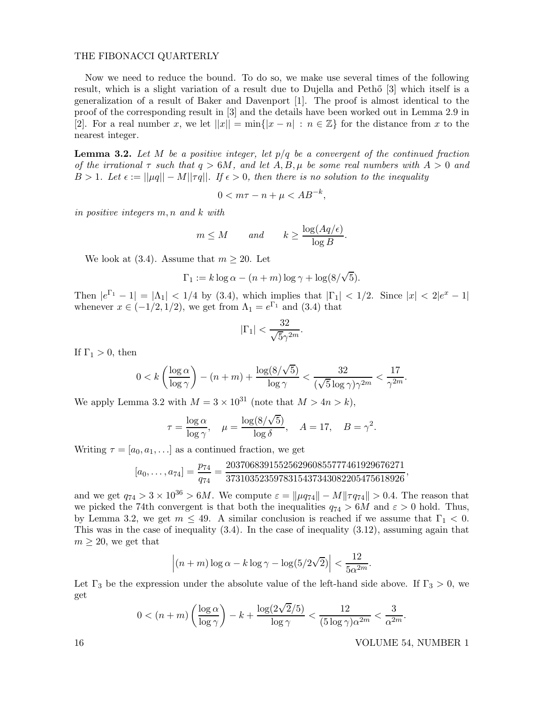Now we need to reduce the bound. To do so, we make use several times of the following result, which is a slight variation of a result due to Dujella and Petho [3] which itself is a generalization of a result of Baker and Davenport [1]. The proof is almost identical to the proof of the corresponding result in [3] and the details have been worked out in Lemma 2.9 in [2]. For a real number x, we let  $||x|| = \min\{|x - n| : n \in \mathbb{Z}\}\)$  for the distance from x to the nearest integer.

**Lemma 3.2.** Let M be a positive integer, let  $p/q$  be a convergent of the continued fraction of the irrational  $\tau$  such that  $q > 6M$ , and let  $A, B, \mu$  be some real numbers with  $A > 0$  and  $B > 1$ . Let  $\epsilon := ||\mu q|| - M||\tau q||$ . If  $\epsilon > 0$ , then there is no solution to the inequality

$$
0 < m\tau - n + \mu < AB^{-k},
$$

in positive integers m, n and k with

$$
m \leq M
$$
 and  $k \geq \frac{\log (Aq/\epsilon)}{\log B}$ .

We look at (3.4). Assume that  $m \geq 20$ . Let

$$
\Gamma_1 := k \log \alpha - (n+m) \log \gamma + \log(8/\sqrt{5}).
$$

Then  $|e^{\Gamma_1} - 1| = |\Lambda_1| < 1/4$  by (3.4), which implies that  $|\Gamma_1| < 1/2$ . Since  $|x| < 2|e^x - 1|$ whenever  $x \in (-1/2, 1/2)$ , we get from  $\Lambda_1 = e^{\Gamma_1}$  and (3.4) that

$$
|\Gamma_1| < \frac{32}{\sqrt{5}\gamma^{2m}}.
$$

If  $\Gamma_1 > 0$ , then

$$
0 < k \left( \frac{\log \alpha}{\log \gamma} \right) - (n+m) + \frac{\log(8/\sqrt{5})}{\log \gamma} < \frac{32}{(\sqrt{5}\log \gamma)\gamma^{2m}} < \frac{17}{\gamma^{2m}}.
$$

We apply Lemma 3.2 with  $M = 3 \times 10^{31}$  (note that  $M > 4n > k$ ),

$$
\tau = \frac{\log \alpha}{\log \gamma}, \quad \mu = \frac{\log(8/\sqrt{5})}{\log \delta}, \quad A = 17, \quad B = \gamma^2.
$$

Writing  $\tau = [a_0, a_1, \ldots]$  as a continued fraction, we get

$$
[a_0,\ldots,a_{74}]=\frac{p_{74}}{q_{74}}=\frac{2037068391552562960855777461929676271}{3731035235978315437343082205475618926},
$$

and we get  $q_{74} > 3 \times 10^{36} > 6M$ . We compute  $\varepsilon = ||\mu q_{74}|| - M||\tau q_{74}|| > 0.4$ . The reason that we picked the 74th convergent is that both the inequalities  $q_{74} > 6M$  and  $\varepsilon > 0$  hold. Thus, by Lemma 3.2, we get  $m \leq 49$ . A similar conclusion is reached if we assume that  $\Gamma_1 < 0$ . This was in the case of inequality (3.4). In the case of inequality (3.12), assuming again that  $m \geq 20$ , we get that

$$
\left| (n+m)\log \alpha - k \log \gamma - \log(5/2\sqrt{2}) \right| < \frac{12}{5\alpha^{2m}}.
$$

Let  $\Gamma_3$  be the expression under the absolute value of the left-hand side above. If  $\Gamma_3 > 0$ , we get

$$
0 < (n+m)\left(\frac{\log \alpha}{\log \gamma}\right) - k + \frac{\log(2\sqrt{2}/5)}{\log \gamma} < \frac{12}{(5\log \gamma)\alpha^{2m}} < \frac{3}{\alpha^{2m}}.
$$

16 VOLUME 54, NUMBER 1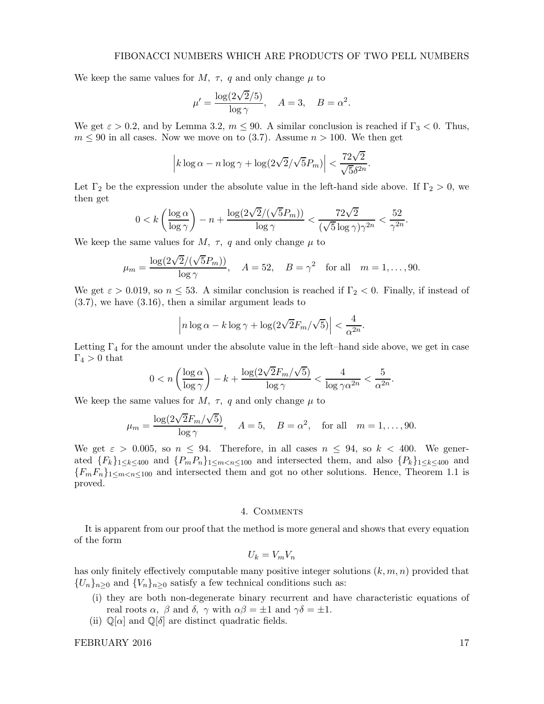We keep the same values for  $M$ ,  $\tau$ , q and only change  $\mu$  to

$$
\mu' = \frac{\log(2\sqrt{2}/5)}{\log \gamma}, \quad A = 3, \quad B = \alpha^2.
$$

We get  $\varepsilon > 0.2$ , and by Lemma 3.2,  $m \le 90$ . A similar conclusion is reached if  $\Gamma_3 < 0$ . Thus,  $m \leq 90$  in all cases. Now we move on to (3.7). Assume  $n > 100$ . We then get

$$
\left| k \log \alpha - n \log \gamma + \log(2\sqrt{2}/\sqrt{5}P_m) \right| < \frac{72\sqrt{2}}{\sqrt{5}\delta^{2n}}.
$$

Let  $\Gamma_2$  be the expression under the absolute value in the left-hand side above. If  $\Gamma_2 > 0$ , we then get

$$
0 < k \left( \frac{\log \alpha}{\log \gamma} \right) - n + \frac{\log(2\sqrt{2}/(\sqrt{5}P_m))}{\log \gamma} < \frac{72\sqrt{2}}{(\sqrt{5}\log \gamma)\gamma^{2n}} < \frac{52}{\gamma^{2n}}.
$$

We keep the same values for  $M$ ,  $\tau$ , q and only change  $\mu$  to

$$
\mu_m = \frac{\log(2\sqrt{2}/(\sqrt{5}P_m))}{\log \gamma}, \quad A = 52, \quad B = \gamma^2 \quad \text{for all} \quad m = 1, \dots, 90.
$$

We get  $\varepsilon > 0.019$ , so  $n \leq 53$ . A similar conclusion is reached if  $\Gamma_2 < 0$ . Finally, if instead of (3.7), we have (3.16), then a similar argument leads to

$$
\left| n \log \alpha - k \log \gamma + \log(2\sqrt{2}F_m/\sqrt{5}) \right| < \frac{4}{\alpha^{2n}}.
$$

Letting  $\Gamma_4$  for the amount under the absolute value in the left–hand side above, we get in case  $\Gamma_4 > 0$  that

$$
0 < n \left( \frac{\log \alpha}{\log \gamma} \right) - k + \frac{\log(2\sqrt{2}F_m/\sqrt{5})}{\log \gamma} < \frac{4}{\log \gamma \alpha^{2n}} < \frac{5}{\alpha^{2n}}.
$$

We keep the same values for M,  $\tau$ , q and only change  $\mu$  to

$$
\mu_m = \frac{\log(2\sqrt{2}F_m/\sqrt{5})}{\log \gamma}, \quad A = 5, \quad B = \alpha^2, \quad \text{for all} \quad m = 1, \dots, 90.
$$

We get  $\varepsilon > 0.005$ , so  $n \leq 94$ . Therefore, in all cases  $n \leq 94$ , so  $k < 400$ . We generated  ${F_k}_{1\leq k\leq 400}$  and  ${P_mP_n}_{1\leq m\leq n\leq 100}$  and intersected them, and also  ${P_k}_{1\leq k\leq 400}$  and  ${F_mF_n}_{1\leq m < n \leq 100}$  and intersected them and got no other solutions. Hence, Theorem 1.1 is proved.

### 4. Comments

It is apparent from our proof that the method is more general and shows that every equation of the form

$$
U_k=V_mV_n
$$

has only finitely effectively computable many positive integer solutions  $(k, m, n)$  provided that  ${U_n}_{n>0}$  and  ${V_n}_{n>0}$  satisfy a few technical conditions such as:

- (i) they are both non-degenerate binary recurrent and have characteristic equations of real roots  $\alpha$ ,  $\beta$  and  $\delta$ ,  $\gamma$  with  $\alpha\beta = \pm 1$  and  $\gamma\delta = \pm 1$ .
- (ii)  $\mathbb{Q}[\alpha]$  and  $\mathbb{Q}[\delta]$  are distinct quadratic fields.